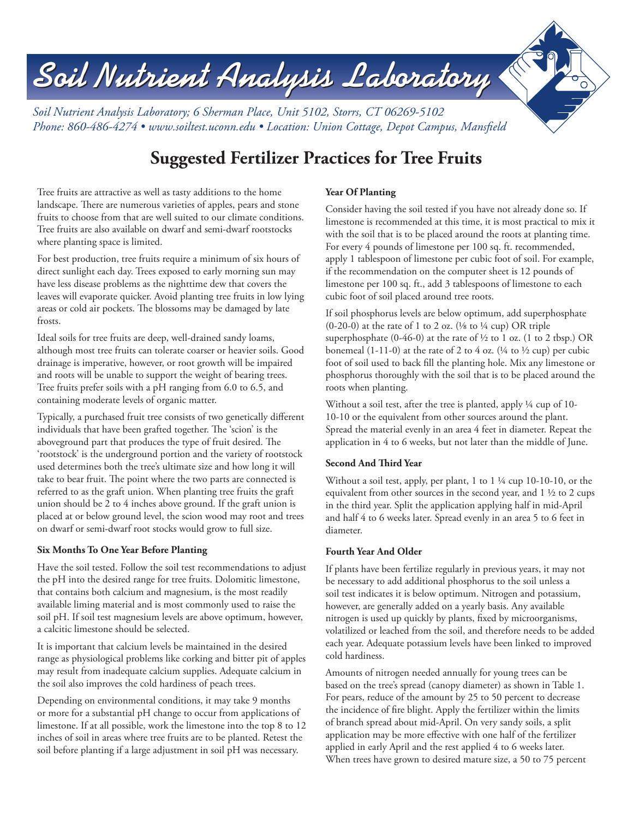# Soil Nutrient Analysis Laboratory

*Soil Nutrient Analysis Laboratory; 6 Sherman Place, Unit 5102, Storrs, CT 06269-5102 Phone: 860-486-4274 • www.soiltest.uconn.edu • Location: Union Cottage, Depot Campus, Mansfield*

# **Suggested Fertilizer Practices for Tree Fruits**

Tree fruits are attractive as well as tasty additions to the home landscape. There are numerous varieties of apples, pears and stone fruits to choose from that are well suited to our climate conditions. Tree fruits are also available on dwarf and semi-dwarf rootstocks where planting space is limited.

For best production, tree fruits require a minimum of six hours of direct sunlight each day. Trees exposed to early morning sun may have less disease problems as the nighttime dew that covers the leaves will evaporate quicker. Avoid planting tree fruits in low lying areas or cold air pockets. The blossoms may be damaged by late frosts.

Ideal soils for tree fruits are deep, well-drained sandy loams, although most tree fruits can tolerate coarser or heavier soils. Good drainage is imperative, however, or root growth will be impaired and roots will be unable to support the weight of bearing trees. Tree fruits prefer soils with a pH ranging from 6.0 to 6.5, and containing moderate levels of organic matter.

Typically, a purchased fruit tree consists of two genetically different individuals that have been grafted together. The 'scion' is the aboveground part that produces the type of fruit desired. The 'rootstock' is the underground portion and the variety of rootstock used determines both the tree's ultimate size and how long it will take to bear fruit. The point where the two parts are connected is referred to as the graft union. When planting tree fruits the graft union should be 2 to 4 inches above ground. If the graft union is placed at or below ground level, the scion wood may root and trees on dwarf or semi-dwarf root stocks would grow to full size.

#### **Six Months To One Year Before Planting**

Have the soil tested. Follow the soil test recommendations to adjust the pH into the desired range for tree fruits. Dolomitic limestone, that contains both calcium and magnesium, is the most readily available liming material and is most commonly used to raise the soil pH. If soil test magnesium levels are above optimum, however, a calcitic limestone should be selected.

It is important that calcium levels be maintained in the desired range as physiological problems like corking and bitter pit of apples may result from inadequate calcium supplies. Adequate calcium in the soil also improves the cold hardiness of peach trees.

Depending on environmental conditions, it may take 9 months or more for a substantial pH change to occur from applications of limestone. If at all possible, work the limestone into the top 8 to 12 inches of soil in areas where tree fruits are to be planted. Retest the soil before planting if a large adjustment in soil pH was necessary.

## **Year Of Planting**

Consider having the soil tested if you have not already done so. If limestone is recommended at this time, it is most practical to mix it with the soil that is to be placed around the roots at planting time. For every 4 pounds of limestone per 100 sq. ft. recommended, apply 1 tablespoon of limestone per cubic foot of soil. For example, if the recommendation on the computer sheet is 12 pounds of limestone per 100 sq. ft., add 3 tablespoons of limestone to each cubic foot of soil placed around tree roots.

If soil phosphorus levels are below optimum, add superphosphate (0-20-0) at the rate of 1 to 2 oz. ( $\frac{1}{8}$  to  $\frac{1}{4}$  cup) OR triple superphosphate (0-46-0) at the rate of  $\frac{1}{2}$  to 1 oz. (1 to 2 tbsp.) OR bonemeal (1-11-0) at the rate of 2 to 4 oz. ( $\frac{1}{4}$  to  $\frac{1}{2}$  cup) per cubic foot of soil used to back fill the planting hole. Mix any limestone or phosphorus thoroughly with the soil that is to be placed around the roots when planting.

Without a soil test, after the tree is planted, apply ¼ cup of 10- 10-10 or the equivalent from other sources around the plant. Spread the material evenly in an area 4 feet in diameter. Repeat the application in 4 to 6 weeks, but not later than the middle of June.

### **Second And Third Year**

Without a soil test, apply, per plant, 1 to 1 ¼ cup 10-10-10, or the equivalent from other sources in the second year, and 1 ½ to 2 cups in the third year. Split the application applying half in mid-April and half 4 to 6 weeks later. Spread evenly in an area 5 to 6 feet in diameter.

### **Fourth Year And Older**

If plants have been fertilize regularly in previous years, it may not be necessary to add additional phosphorus to the soil unless a soil test indicates it is below optimum. Nitrogen and potassium, however, are generally added on a yearly basis. Any available nitrogen is used up quickly by plants, fixed by microorganisms, volatilized or leached from the soil, and therefore needs to be added each year. Adequate potassium levels have been linked to improved cold hardiness.

Amounts of nitrogen needed annually for young trees can be based on the tree's spread (canopy diameter) as shown in Table 1. For pears, reduce of the amount by 25 to 50 percent to decrease the incidence of fire blight. Apply the fertilizer within the limits of branch spread about mid-April. On very sandy soils, a split application may be more effective with one half of the fertilizer applied in early April and the rest applied 4 to 6 weeks later. When trees have grown to desired mature size, a 50 to 75 percent